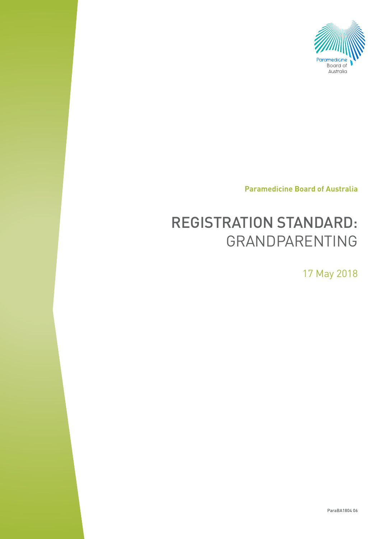

**Paramedicine Board of Australia**

# REGISTRATION STANDARD: Grandparenting

17 May 2018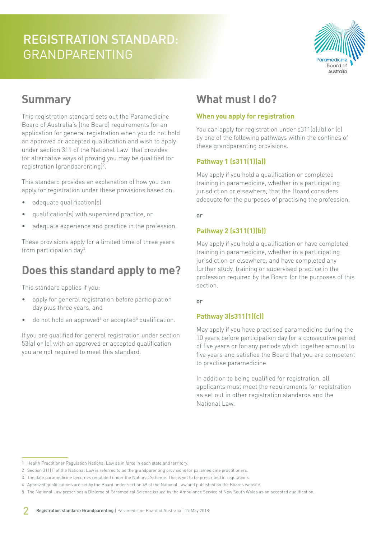# REGISTRATION STANDARD: **GRANDPARENTING**



### **Summary**

This registration standard sets out the Paramedicine Board of Australia's (the Board) requirements for an application for general registration when you do not hold an approved or accepted qualification and wish to apply under section 311 of the National Law<sup>1</sup> that provides for alternative ways of proving you may be qualified for registration (grandparenting)<sup>2</sup>.

This standard provides an explanation of how you can apply for registration under these provisions based on:

- adequate qualification(s)
- qualification(s) with supervised practice, or
- adequate experience and practice in the profession.

These provisions apply for a limited time of three years from participation day<sup>3</sup>.

### **Does this standard apply to me?**

This standard applies if you:

- apply for general registration before participiation day plus three years, and
- $\bullet$  do not hold an approved<sup>4</sup> or accepted<sup>5</sup> qualification.

If you are qualified for general registration under section 53(a) or (d) with an approved or accepted qualification you are not required to meet this standard.

### **What must I do?**

#### **When you apply for registration**

You can apply for registration under s311(a), (b) or (c) by one of the following pathways within the confines of these grandparenting provisions.

#### **Pathway 1 (s311(1)(a))**

May apply if you hold a qualification or completed training in paramedicine, whether in a participating jurisdiction or elsewhere, that the Board considers adequate for the purposes of practising the profession.

or

#### **Pathway 2 (s311(1)(b))**

May apply if you hold a qualification or have completed training in paramedicine, whether in a participating jurisdiction or elsewhere, and have completed any further study, training or supervised practice in the profession required by the Board for the purposes of this section.

or

### **Pathway 3(s311(1)(c))**

May apply if you have practised paramedicine during the 10 years before participation day for a consecutive period of five years or for any periods which together amount to five years and satisfies the Board that you are competent to practise paramedicine.

In addition to being qualified for registration, all applicants must meet the requirements for registration as set out in other registration standards and the National Law.

<sup>1</sup> Health Practitioner Regulation National Law as in force in each state and territory.

<sup>2</sup> Section 311(1) of the National Law is referred to as the grandparenting provisions for paramedicine practitioners.

<sup>3</sup> The date paramedicine becomes regulated under the National Scheme. This is yet to be prescribed in regulations.

<sup>4</sup> Approved qualifications are set by the Board under section 49 of the National Law and published on the Boards website.

<sup>5</sup> The National Law prescribes a Diploma of Paramedical Science issued by the Ambulance Service of New South Wales as an accepted qualification.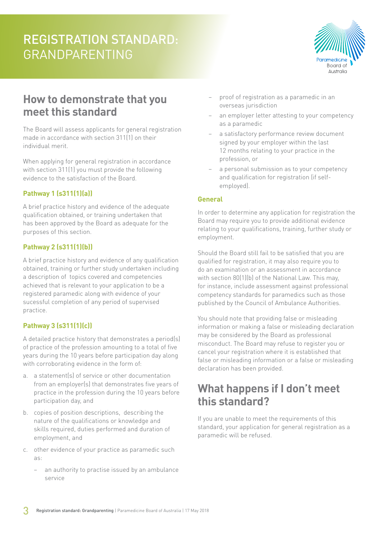# REGISTRATION STANDARD: **GRANDPARENTING**



### **How to demonstrate that you meet this standard**

The Board will assess applicants for general registration made in accordance with section 311(1) on their individual merit.

When applying for general registration in accordance with section 311(1) you must provide the following evidence to the satisfaction of the Board.

### **Pathway 1 (s311(1)(a))**

A brief practice history and evidence of the adequate qualification obtained, or training undertaken that has been approved by the Board as adequate for the purposes of this section.

### **Pathway 2 (s311(1)(b))**

A brief practice history and evidence of any qualification obtained, training or further study undertaken including a description of topics covered and competencies achieved that is relevant to your application to be a registered paramedic along with evidence of your sucessful completion of any period of supervised practice.

### **Pathway 3 (s311(1)(c))**

A detailed practice history that demonstrates a period(s) of practice of the profession amounting to a total of five years during the 10 years before participation day along with corroborating evidence in the form of:

- a. a statement(s) of service or other documentation from an employer(s) that demonstrates five years of practice in the profession during the 10 years before participation day, and
- b. copies of position descriptions, describing the nature of the qualifications or knowledge and skills required, duties performed and duration of employment, and
- c. other evidence of your practice as paramedic such as:
	- an authority to practise issued by an ambulance service
- − proof of registration as a paramedic in an overseas jurisdiction
- an employer letter attesting to your competency as a paramedic
- a satisfactory performance review document signed by your employer within the last 12 months relating to your practice in the profession, or
- a personal submission as to your competency and qualification for registration (if selfemployed).

#### **General**

In order to determine any application for registration the Board may require you to provide additional evidence relating to your qualifications, training, further study or employment.

Should the Board still fail to be satisfied that you are qualified for registration, it may also require you to do an examination or an assessment in accordance with section 80(1)(b) of the National Law. This may, for instance, include assessment against professional competency standards for paramedics such as those published by the Council of Ambulance Authorities.

You should note that providing false or misleading information or making a false or misleading declaration may be considered by the Board as professional misconduct. The Board may refuse to register you or cancel your registration where it is established that false or misleading information or a false or misleading declaration has been provided.

### **What happens if I don't meet this standard?**

If you are unable to meet the requirements of this standard, your application for general registration as a paramedic will be refused.